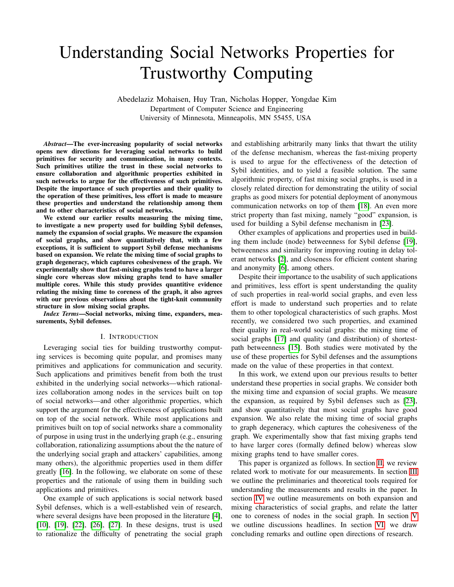# Understanding Social Networks Properties for Trustworthy Computing

Abedelaziz Mohaisen, Huy Tran, Nicholas Hopper, Yongdae Kim Department of Computer Science and Engineering University of Minnesota, Minneapolis, MN 55455, USA

*Abstract*—The ever-increasing popularity of social networks opens new directions for leveraging social networks to build primitives for security and communication, in many contexts. Such primitives utilize the trust in these social networks to ensure collaboration and algorithmic properties exhibited in such networks to argue for the effectiveness of such primitives. Despite the importance of such properties and their quality to the operation of these primitives, less effort is made to measure these properties and understand the relationship among them and to other characteristics of social networks.

We extend our earlier results measuring the mixing time, to investigate a new property used for building Sybil defenses, namely the expansion of social graphs. We measure the expansion of social graphs, and show quantitatively that, with a few exceptions, it is sufficient to support Sybil defense mechanisms based on expansion. We relate the mixing time of social graphs to graph degeneracy, which captures cohesiveness of the graph. We experimentally show that fast-mixing graphs tend to have a larger single core whereas slow mixing graphs tend to have smaller multiple cores. While this study provides quantitive evidence relating the mixing time to coreness of the graph, it also agrees with our previous observations about the tight-knit community structure in slow mixing social graphs.

*Index Terms*—Social networks, mixing time, expanders, measurements, Sybil defenses.

#### I. INTRODUCTION

Leveraging social ties for building trustworthy computing services is becoming quite popular, and promises many primitives and applications for communication and security. Such applications and primitives benefit from both the trust exhibited in the underlying social networks—which rationalizes collaboration among nodes in the services built on top of social networks—and other algorithmic properties, which support the argument for the effectiveness of applications built on top of the social network. While most applications and primitives built on top of social networks share a commonality of purpose in using trust in the underlying graph (e.g., ensuring collaboration, rationalizing assumptions about the the nature of the underlying social graph and attackers' capabilities, among many others), the algorithmic properties used in them differ greatly [\[16\]](#page-5-0). In the following, we elaborate on some of these properties and the rationale of using them in building such applications and primitives.

One example of such applications is social network based Sybil defenses, which is a well-established vein of research, where several designs have been proposed in the literature [\[4\]](#page-5-1), [\[10\]](#page-5-2), [\[19\]](#page-5-3), [\[22\]](#page-5-4), [\[26\]](#page-5-5), [\[27\]](#page-5-6). In these designs, trust is used to rationalize the difficulty of penetrating the social graph and establishing arbitrarily many links that thwart the utility of the defense mechanism, whereas the fast-mixing property is used to argue for the effectiveness of the detection of Sybil identities, and to yield a feasible solution. The same algorithmic property, of fast mixing social graphs, is used in a closely related direction for demonstrating the utility of social graphs as good mixers for potential deployment of anonymous communication networks on top of them [\[18\]](#page-5-7). An even more strict property than fast mixing, namely "good" expansion, is used for building a Sybil defense mechanism in [\[23\]](#page-5-8).

Other examples of applications and properties used in building them include (node) betweenness for Sybil defense [\[19\]](#page-5-3), betweenness and similarity for improving routing in delay tolerant networks [\[2\]](#page-5-9), and closeness for efficient content sharing and anonymity [\[6\]](#page-5-10), among others.

Despite their importance to the usability of such applications and primitives, less effort is spent understanding the quality of such properties in real-world social graphs, and even less effort is made to understand such properties and to relate them to other topological characteristics of such graphs. Most recently, we considered two such properties, and examined their quality in real-world social graphs: the mixing time of social graphs [\[17\]](#page-5-11) and quality (and distribution) of shortestpath betweenness [\[15\]](#page-5-12). Both studies were motivated by the use of these properties for Sybil defenses and the assumptions made on the value of these properties in that context.

In this work, we extend upon our previous results to better understand these properties in social graphs. We consider both the mixing time and expansion of social graphs. We measure the expansion, as required by Sybil defenses such as [\[23\]](#page-5-8), and show quantitatively that most social graphs have good expansion. We also relate the mixing time of social graphs to graph degeneracy, which captures the cohesiveness of the graph. We experimentally show that fast mixing graphs tend to have larger cores (formally defined below) whereas slow mixing graphs tend to have smaller cores.

This paper is organized as follows. In section [II,](#page-1-0) we review related work to motivate for our measurements. In section [III](#page-1-1) we outline the preliminaries and theoretical tools required for understanding the measurements and results in the paper. In section [IV](#page-2-0) we outline measurements on both expansion and mixing characteristics of social graphs, and relate the latter one to coreness of nodes in the social graph. In section [V](#page-4-0) we outline discussions headlines. In section [VI,](#page-4-1) we draw concluding remarks and outline open directions of research.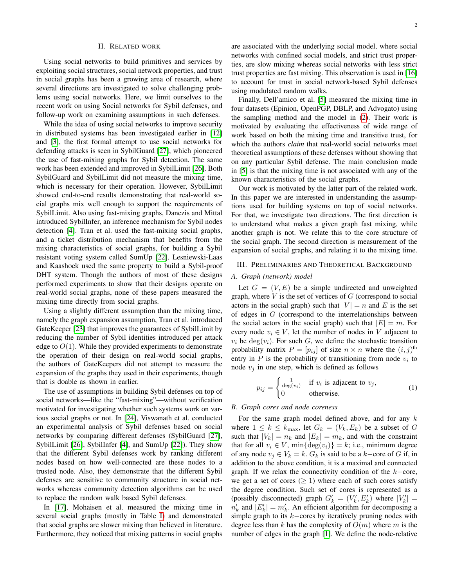#### II. RELATED WORK

<span id="page-1-0"></span>Using social networks to build primitives and services by exploiting social structures, social network properties, and trust in social graphs has been a growing area of research, where several directions are investigated to solve challenging problems using social networks. Here, we limit ourselves to the recent work on using Social networks for Sybil defenses, and follow-up work on examining assumptions in such defenses.

While the idea of using social networks to improve security in distributed systems has been investigated earlier in [\[12\]](#page-5-13) and [\[3\]](#page-5-14), the first formal attempt to use social networks for defending attacks is seen in SybilGuard [\[27\]](#page-5-6), which pioneered the use of fast-mixing graphs for Sybil detection. The same work has been extended and improved in SybilLimit [\[26\]](#page-5-5). Both SybilGuard and SybilLimit did not measure the mixing time, which is necessary for their operation. However, SybilLimit showed end-to-end results demonstrating that real-world social graphs mix well enough to support the requirements of SybilLimit. Also using fast-mixing graphs, Danezis and Mittal introduced SybilInfer, an inference mechanism for Sybil nodes detection [\[4\]](#page-5-1). Tran et al. used the fast-mixing social graphs, and a ticket distribution mechanism that benefits from the mixing characteristics of social graphs, for building a Sybil resistant voting system called SumUp [\[22\]](#page-5-4). Lesniewski-Laas and Kaashoek used the same property to build a Sybil-proof DHT system. Though the authors of most of these designs performed experiments to show that their designs operate on real-world social graphs, none of these papers measured the mixing time directly from social graphs.

Using a slightly different assumption than the mixing time, namely the graph expansion assumption, Tran et al. introduced GateKeeper [\[23\]](#page-5-8) that improves the guarantees of SybilLimit by reducing the number of Sybil identities introduced per attack edge to  $O(1)$ . While they provided experiments to demonstrate the operation of their design on real-world social graphs, the authors of GateKeepers did not attempt to measure the expansion of the graphs they used in their experiments, though that is doable as shown in earlier.

The use of assumptions in building Sybil defenses on top of social networks—like the "fast-mixing"—without verification motivated for investigating whether such systems work on various social graphs or not. In [\[24\]](#page-5-15), Viswanath et al. conducted an experimental analysis of Sybil defenses based on social networks by comparing different defenses (SybilGuard [\[27\]](#page-5-6), SybilLimit [\[26\]](#page-5-5), SybilInfer [\[4\]](#page-5-1), and SumUp [\[22\]](#page-5-4)). They show that the different Sybil defenses work by ranking different nodes based on how well-connected are these nodes to a trusted node. Also, they demonstrate that the different Sybil defenses are sensitive to community structure in social networks whereas community detection algorithms can be used to replace the random walk based Sybil defenses.

In [\[17\]](#page-5-11), Mohaisen et al. measured the mixing time in several social graphs (mostly in Table [I\)](#page-3-0) and demonstrated that social graphs are slower mixing than believed in literature. Furthermore, they noticed that mixing patterns in social graphs are associated with the underlying social model, where social networks with confined social models, and strict trust properties, are slow mixing whereas social networks with less strict trust properties are fast mixing. This observation is used in [\[16\]](#page-5-0) to account for trust in social network-based Sybil defenses using modulated random walks.

Finally, Dell'amico et al. [\[5\]](#page-5-16) measured the mixing time in four datasets (Epinion, OpenPGP, DBLP, and Advogato) using the sampling method and the model in [\(2\)](#page-2-1). Their work is motivated by evaluating the effectiveness of wide range of work based on both the mixing time and transitive trust, for which the authors *claim* that real-world social networks meet theoretical assumptions of these defenses without showing that on any particular Sybil defense. The main conclusion made in [\[5\]](#page-5-16) is that the mixing time is not associated with any of the known characteristics of the social graphs.

Our work is motivated by the latter part of the related work. In this paper we are interested in understanding the assumptions used for building systems on top of social networks. For that, we investigate two directions. The first direction is to understand what makes a given graph fast mixing, while another graph is not. We relate this to the core structure of the social graph. The second direction is measurement of the expansion of social graphs, and relating it to the mixing time.

#### <span id="page-1-1"></span>III. PRELIMINARIES AND THEORETICAL BACKGROUND

## *A. Graph (network) model*

Let  $G = (V, E)$  be a simple undirected and unweighted graph, where  $V$  is the set of vertices of  $G$  (correspond to social actors in the social graph) such that  $|V| = n$  and E is the set of edges in G (correspond to the interrelationships between the social actors in the social graph) such that  $|E| = m$ . For every node  $v_i \in V$ , let the number of nodes in V adjacent to  $v_i$  be  $deg(v_i)$ . For such G, we define the stochastic transition probability matrix  $P = [p_{ij}]$  of size  $n \times n$  where the  $(i, j)$ <sup>th</sup> entry in  $P$  is the probability of transitioning from node  $v_i$  to node  $v_i$  in one step, which is defined as follows

<span id="page-1-2"></span>
$$
p_{ij} = \begin{cases} \frac{1}{\deg(v_i)} & \text{if } v_i \text{ is adjacent to } v_j, \\ 0 & \text{otherwise.} \end{cases}
$$
 (1)

# *B. Graph cores and node coreness*

For the same graph model defined above, and for any  $k$ where  $1 \leq k \leq k_{\text{max}}$ , let  $G_k = (V_k, E_k)$  be a subset of G such that  $|V_k| = n_k$  and  $|E_k| = m_k$ , and with the constraint that for all  $v_i \in V$ ,  $\min{\{\deg(v_i)\}} = k$ ; i.e., minimum degree of any node  $v_j \in V_k = k$ .  $G_k$  is said to be a k–core of G if, in addition to the above condition, it is a maximal and connected graph. If we relax the connectivity condition of the  $k$ -core, we get a set of cores ( $\geq$  1) where each of such cores satisfy the degree condition. Such set of cores is represented as a (possibly disconnected) graph  $G'_{k} = (V'_{k}, E'_{k})$  where  $|V'_{k}| =$  $n'_k$  and  $|E'_k| = m'_k$ . An efficient algorithm for decomposing a simple graph to its  $k$ −cores by iteratively pruning nodes with degree less than k has the complexity of  $O(m)$  where m is the number of edges in the graph [\[1\]](#page-5-17). We define the node-relative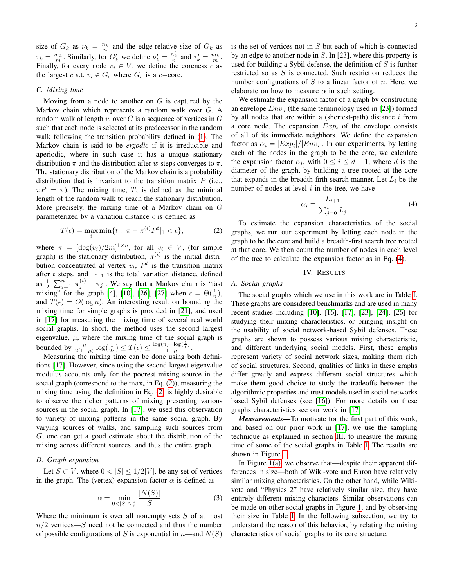size of  $G_k$  as  $\nu_k = \frac{n_k}{n}$  and the edge-relative size of  $G_k$  as  $\tau_k = \frac{m_k}{m}$ . Similarly, for  $G'_k$  we define  $\nu'_k = \frac{n'_k}{n}$  and  $\tau'_k = \frac{m_k}{m}$ . Finally, for every node  $v_i \in V$ , we define the coreness c as the largest c s.t.  $v_i \in G_c$  where  $G_c$  is a c−core.

#### *C. Mixing time*

Moving from a node to another on  $G$  is captured by the Markov chain which represents a random walk over G. A random walk of length w over  $G$  is a sequence of vertices in  $G$ such that each node is selected at its predecessor in the random walk following the transition probability defined in [\(1\)](#page-1-2). The Markov chain is said to be *ergodic* if it is irreducible and aperiodic, where in such case it has a unique stationary distribution  $\pi$  and the distribution after w steps converges to  $\pi$ . The stationary distribution of the Markov chain is a probability distribution that is invariant to the transition matrix  $P$  (i.e.,  $\pi P = \pi$ ). The mixing time, T, is defined as the minimal length of the random walk to reach the stationary distribution. More precisely, the mixing time of a Markov chain on G parameterized by a variation distance  $\epsilon$  is defined as

<span id="page-2-1"></span>
$$
T(\epsilon) = \max_{i} \min\{t : |\pi - \pi^{(i)}P^t|_1 < \epsilon\},\tag{2}
$$

where  $\pi = [\deg(v_i)/2m]^{1 \times n}$ , for all  $v_i \in V$ , (for simple graph) is the stationary distribution,  $\pi^{(i)}$  is the initial distribution concentrated at vertex  $v_i$ ,  $P<sup>t</sup>$  is the transition matrix after t steps, and  $|\cdot|_1$  is the total variation distance, defined as  $\frac{1}{2} \sum_{j=1}^{n} |\pi_j^{(i)} - \pi_j|$ . We say that a Markov chain is "fast mixing" for the graph [\[4\]](#page-5-1), [\[10\]](#page-5-2), [\[26\]](#page-5-5), [\[27\]](#page-5-6) when  $\epsilon = \Theta(\frac{1}{n})$ , and  $T(\epsilon) = O(\log n)$ . An interesting result on bounding the mixing time for simple graphs is provided in [\[21\]](#page-5-18), and used in [\[17\]](#page-5-11) for measuring the mixing time of several real world social graphs. In short, the method uses the second largest eigenvalue,  $\mu$ , where the mixing time of the social graph is bounded by  $\frac{\mu}{2(1-\mu)} \log(\frac{1}{2\epsilon}) \leq T(\epsilon) \leq \frac{\log(n) + \log(\frac{1}{\epsilon})}{1-\mu}$  $\frac{1-\mu}{1-\mu}$ .

Measuring the mixing time can be done using both definitions [\[17\]](#page-5-11). However, since using the second largest eigenvalue modulus accounts only for the poorest mixing source in the social graph (correspond to the  $\max_i$  in Eq. [\(2\)](#page-2-1)), measuring the mixing time using the definition in Eq. [\(2\)](#page-2-1) is highly desirable to observe the richer patterns of mixing presenting various sources in the social graph. In [\[17\]](#page-5-11), we used this observation to variety of mixing patterns in the same social graph. By varying sources of walks, and sampling such sources from G, one can get a good estimate about the distribution of the mixing across different sources, and thus the entire graph.

## *D. Graph expansion*

Let  $S \subset V$ , where  $0 < |S| \leq 1/2|V|$ , be any set of vertices in the graph. The (vertex) expansion factor  $\alpha$  is defined as

$$
\alpha = \min_{0 < |S| \le \frac{n}{2}} \frac{|N(S)|}{|S|} \tag{3}
$$

Where the minimum is over all nonempty sets  $S$  of at most  $n/2$  vertices— $S$  need not be connected and thus the number of possible configurations of S is exponential in  $n$ —and  $N(S)$  is the set of vertices not in  $S$  but each of which is connected by an edge to another node in S. In [\[23\]](#page-5-8), where this property is used for building a Sybil defense, the definition of  $S$  is further restricted so as  $S$  is connected. Such restriction reduces the number configurations of  $S$  to a linear factor of  $n$ . Here, we elaborate on how to measure  $\alpha$  in such setting.

We estimate the expansion factor of a graph by constructing an envelope  $Env_d$  (the same terminology used in [\[23\]](#page-5-8)) formed by all nodes that are within a (shortest-path) distance  $i$  from a core node. The expansion  $Exp<sub>i</sub>$  of the envelope consists of all of its immediate neighbors. We define the expansion factor as  $\alpha_i = |Exp_i|/|Env_i|$ . In our experiments, by letting each of the nodes in the graph to be the core, we calculate the expansion factor  $\alpha_i$ , with  $0 \le i \le d-1$ , where d is the diameter of the graph, by building a tree rooted at the core that expands in the breadth-firth search manner. Let  $L_i$  be the number of nodes at level  $i$  in the tree, we have

<span id="page-2-2"></span>
$$
\alpha_i = \frac{L_{i+1}}{\sum_{j=0}^{i} L_j} \tag{4}
$$

To estimate the expansion characteristics of the social graphs, we run our experiment by letting each node in the graph to be the core and build a breadth-first search tree rooted at that core. We then count the number of nodes in each level of the tree to calculate the expansion factor as in Eq. [\(4\)](#page-2-2).

## IV. RESULTS

#### <span id="page-2-0"></span>*A. Social graphs*

The social graphs which we use in this work are in Table [I.](#page-3-0) These graphs are considered benchmarks and are used in many recent studies including [\[10\]](#page-5-2), [\[16\]](#page-5-0), [\[17\]](#page-5-11), [\[23\]](#page-5-8), [\[24\]](#page-5-15), [\[26\]](#page-5-5) for studying their mixing characteristics, or bringing insight on the usability of social network-based Sybil defenses. These graphs are shown to possess various mixing characteristic, and different underlying social models. First, these graphs represent variety of social network sizes, making them rich of social structures. Second, qualities of links in these graphs differ greatly and express different social structures which make them good choice to study the tradeoffs between the algorithmic properties and trust models used in social networks based Sybil defenses (see [\[16\]](#page-5-0)). For more details on these graphs characteristics see our work in [\[17\]](#page-5-11).

*Measurements—*To motivate for the first part of this work, and based on our prior work in [\[17\]](#page-5-11), we use the sampling technique as explained in section [III,](#page-1-1) to measure the mixing time of some of the social graphs in Table [I.](#page-3-0) The results are shown in Figure [1.](#page-3-1)

In Figure [1\(a\),](#page-3-2) we observe that—despite their apparent differences in size—both of Wiki-vote and Enron have relatively similar mixing characteristics. On the other hand, while Wikivote and "Physics 2" have relatively similar size, they have entirely different mixing characters. Similar observations can be made on other social graphs in Figure [1,](#page-3-1) and by observing their size in Table [I.](#page-3-0) In the following subsection, we try to understand the reason of this behavior, by relating the mixing characteristics of social graphs to its core structure.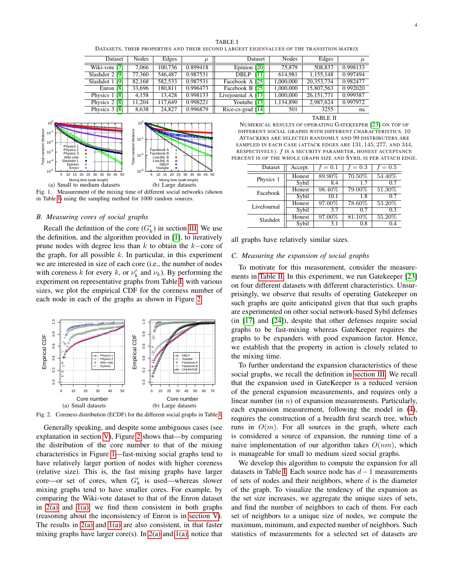|                                                                                          | TABLE I |  |  |  |
|------------------------------------------------------------------------------------------|---------|--|--|--|
| DATASETS, THEIR PROPERTIES AND THEIR SECOND LARGEST EIGENVALUES OF THE TRANSITION MATRIX |         |  |  |  |

<span id="page-3-0"></span>

| Dataset            | Nodes  | Edges   | $\mu$    | Dataset              | Nodes     | Edges      | $\mu$    |
|--------------------|--------|---------|----------|----------------------|-----------|------------|----------|
| Wiki-vote [7]      | 7.066  | 100.736 | 0.899418 | Epinion [20]         | 75,879    | 508,837    | 0.998133 |
| Slashdot 2 [9]     | 77,360 | 546,487 | 0.987531 | [11]<br>DBLP         | 614.981   | 1,155,148  | 0.997494 |
| Slashdot 1 [9]     | 82.168 | 582.533 | 0.987531 | Facebook A [25]      | 1.000.000 | 20.353.734 | 0.982477 |
| Enron [8]          | 33,696 | 180.811 | 0.996473 | Facebook B [25]      | 1,000,000 | 15,807,563 | 0.992020 |
| Physics 1 [8]      | 4.158  | 13.428  | 0.998133 | Livejournal $A$ [13] | 1.000.000 | 26.151.771 | 0.999387 |
| Physics $2 \, [8]$ | 11.204 | 117.649 | 0.998221 | Youtube [13]         | 1,134,890 | 2,987,624  | 0.997972 |
| Physics 3 [8]      | 8,638  | 24,827  | 0.996879 | Rice-cs-grad $[14]$  | 501       | 3255       | na       |

<span id="page-3-2"></span>

<span id="page-3-1"></span>in Table [I\)](#page-3-0) using the sampling method for 1000 random sources.

## <span id="page-3-6"></span>*B. Measuring cores of social graphs*

Recall the definition of the core  $(G'_{k})$  in section [III.](#page-1-1) We use the definition, and the algorithm provided in [\[1\]](#page-5-17), to iteratively prune nodes with degree less than k to obtain the k−core of the graph, for all possible  $k$ . In particular, in this experiment we are interested in size of each core (i.e., the number of nodes with coreness k for every k, or  $\nu'_k$  and  $\nu_k$ ). By performing the experiment on representative graphs from Table [I,](#page-3-0) with various sizes, we plot the empirical CDF for the coreness number of each node in each of the graphs as shown in Figure [2.](#page-3-3)

<span id="page-3-4"></span>

<span id="page-3-3"></span>Fig. 2. Coreness distribution (ECDF) for the different social graphs in Table [I.](#page-3-0)

Generally speaking, and despite some ambiguous cases (see explanation in section [V\)](#page-4-0), Figure [2](#page-3-3) shows that—by comparing the distribution of the core number to that of the mixing characteristics in Figure [1—](#page-3-1)fast-mixing social graphs tend to have relatively larger portion of nodes with higher coreness (relative size). This is, the fast mixing graphs have larger core—or set of cores, when  $G'_{k}$  is used—whereas slower mixing graphs tend to have smaller cores. For example, by comparing the Wiki-vote dataset to that of the Enron dataset in  $2(a)$  and  $1(a)$ , we find them consistent in both graphs (reasoning about the inconsistency of Enron is in [section V\)](#page-4-0). The results in  $2(a)$  and  $1(a)$  are also consistent, in that faster mixing graphs have larger core(s). In [2\(a\)](#page-3-4) and [1\(a\),](#page-3-2) notice that TABLE II

<span id="page-3-5"></span>NUMERICAL RESULTS OF OPERATING GATEKEEPER [\[23\]](#page-5-8) ON TOP OF DIFFERENT SOCIAL GRAPHS WITH DIFFERENT CHARACTERISTICS. 10 ATTACKERS ARE SELECTED RANDOMLY AND 99 DISTRIBUTERS ARE SAMPLED IN EACH CASE (ATTACK EDGES ARE 131, 145, 277, AND 344, RESPECTIVELY). f IS A SECURITY PARAMETER, HONEST ACCEPTANCE PERCENT IS OF THE WHOLE GRAPH SIZE AND SYBIL IS PER ATTACH EDGE.

| Dataset     | Accept. | $f = 0.1$ | $f = 0.3$ | $f = 0.5$ |
|-------------|---------|-----------|-----------|-----------|
| Physics 1   | Honest  | 89.90%    | 70.50%    | 54.40%    |
|             | Sybil   | 8.4       | 1.7       | 0.7       |
| Facebook    | Honest  | 98.40%    | 79.00%    | 51.30%    |
|             | Sybil   | 10.1      | 1.8       | 0.7       |
| LiveJournal | Honest  | 97.00%    | 78.60%    | 53.20%    |
|             | Sybil   | 3.7       | 0.7       | 0.3       |
| Slashdot    | Honest  | 97.00%    | 81.10%    | 55.20%    |
|             | Sybil   | 3.1       | 0.8       | 0.4       |

all graphs have relatively similar sizes.

#### *C. Measuring the expansion of social graphs*

To motivate for this measurement, consider the measurements in [Table II.](#page-3-5) In this experiment, we run Gatekeeper [\[23\]](#page-5-8) on four different datasets with different characteristics. Unsurprisingly, we observe that results of operating Gatekeeper on such graphs are quite anticipated given that that such graphs are experimented on other social network-based Sybil defenses (in [\[17\]](#page-5-11) and [\[24\]](#page-5-15)), despite that other defenses require social graphs to be fast-mixing whereas GateKeeper requires the graphs to be expanders with good expansion factor. Hence, we establish that the property in action is closely related to the mixing time.

To further understand the expansion characteristics of these social graphs, we recall the definition in [section III.](#page-1-1) We recall that the expansion used in GateKeeper is a reduced version of the general expansion measurements, and requires only a linear number (in  $n$ ) of expansion measurements. Particularly, each expansion measurement, following the model in [\(4\)](#page-2-2), requires the construction of a breadth first search tree, which runs in  $O(m)$ . For all sources in the graph, where each is considered a source of expansion, the running time of a naive implementation of our algorithm takes  $O(nm)$ , which is manageable for small to medium sized social graphs.

We develop this algorithm to compute the expansion for all datasets in Table [I.](#page-3-0) Each source node has  $d-1$  measurements of sets of nodes and their neighbors, where  $d$  is the diameter of the graph. To visualize the tendency of the expansion as the set size increases, we aggregate the unique sizes of sets, and find the number of neighbors to each of them. For each set of neighbors to a unique size of nodes, we compute the maximum, minimum, and expected number of neighbors. Such statistics of measurements for a selected set of datasets are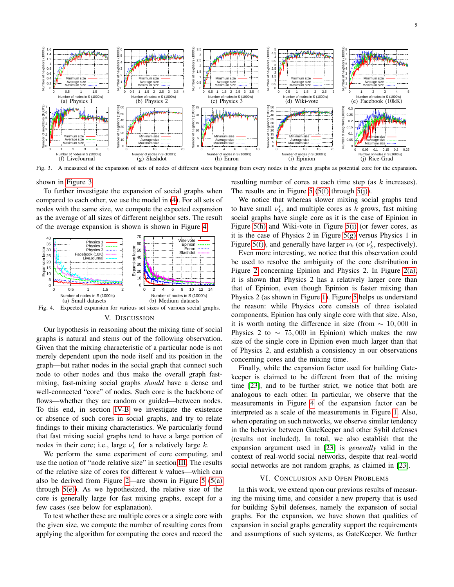

<span id="page-4-2"></span>Fig. 3. A measured of the expansion of sets of nodes of different sizes beginning from every nodes in the given graphs as potential core for the expansion.

shown in [Figure 3.](#page-4-2)

To further investigate the expansion of social graphs when compared to each other, we use the model in [\(4\)](#page-2-2). For all sets of nodes with the same size, we compute the expected expansion as the average of all sizes of different neighbor sets. The result of the average expansion is shown is shown in Figure [4.](#page-4-3)



#### V. DISCUSSION

<span id="page-4-3"></span><span id="page-4-0"></span>Our hypothesis in reasoning about the mixing time of social graphs is natural and stems out of the following observation. Given that the mixing characteristic of a particular node is not merely dependent upon the node itself and its position in the graph—but rather nodes in the social graph that connect such node to other nodes and thus make the overall graph fastmixing, fast-mixing social graphs *should* have a dense and well-connected "core" of nodes. Such core is the backbone of flows—whether they are random or guided—between nodes. To this end, in section [IV-B](#page-3-6) we investigate the existence or absence of such cores in social graphs, and try to relate findings to their mixing characteristics. We particularly found that fast mixing social graphs tend to have a large portion of nodes in their core; i.e., large  $\nu'_{k}$  for a relatively large k.

We perform the same experiment of core computing, and use the notion of "node relative size" in section [III.](#page-1-1) The results of the relative size of cores for different  $k$  values—which can also be derived from Figure [2—](#page-3-3)are shown in Figure  $5(5(a))$  $5(5(a))$  $5(5(a))$ through  $5(e)$ ). As we hypothesized, the relative size of the core is generally large for fast mixing graphs, except for a few cases (see below for explanation).

To test whether these are multiple cores or a single core with the given size, we compute the number of resulting cores from applying the algorithm for computing the cores and record the resulting number of cores at each time step (as k increases). The results are in Figure [5](#page-5-27) [\(5\(f\)](#page-5-30) through [5\(j\)\)](#page-5-31).

We notice that whereas slower mixing social graphs tend to have small  $\nu'_{k}$ , and multiple cores as k grows, fast mixing social graphs have single core as it is the case of Epinion in Figure [5\(h\)](#page-5-32) and Wiki-vote in Figure [5\(i\)](#page-5-33) (or fewer cores, as it is the case of Physics 2 in Figure [5\(g\)](#page-5-34) versus Physics 1 in Figure [5\(f\)\)](#page-5-30), and generally have larger  $\nu_k$  (or  $\nu'_k$ , respectively).

Even more interesting, we notice that this observation could be used to resolve the ambiguity of the core distribution in Figure [2](#page-3-3) concerning Epinion and Physics 2. In Figure [2\(a\),](#page-3-4) it is shown that Physics 2 has a relatively larger core than that of Epinion, even though Epinion is faster mixing than Physics 2 (as shown in Figure [1\)](#page-3-1). Figure [5](#page-5-27) helps us understand the reason: while Physics core consists of three isolated components, Epinion has only single core with that size. Also, it is worth noting the difference in size (from  $\sim 10,000$  in Physics 2 to  $\sim$  75,000 in Epinion) which makes the raw size of the single core in Epinion even much larger than that of Physics 2, and establish a consistency in our observations concerning cores and the mixing time.

Finally, while the expansion factor used for building Gatekeeper is claimed to be different from that of the mixing time [\[23\]](#page-5-8), and to be further strict, we notice that both are analogous to each other. In particular, we observe that the measurements in Figure [4](#page-4-3) of the expansion factor can be interpreted as a scale of the measurements in Figure [1.](#page-3-1) Also, when operating on such networks, we observe similar tendency in the behavior between GateKeeper and other Sybil defenses (results not included). In total, we also establish that the expansion argument used in [\[23\]](#page-5-8) is *generally* valid in the context of real-world social networks, despite that real-world social networks are not random graphs, as claimed in [\[23\]](#page-5-8).

#### VI. CONCLUSION AND OPEN PROBLEMS

<span id="page-4-1"></span>In this work, we extend upon our previous results of measuring the mixing time, and consider a new property that is used for building Sybil defenses, namely the expansion of social graphs. For the expansion, we have shown that qualities of expansion in social graphs generality support the requirements and assumptions of such systems, as GateKeeper. We further